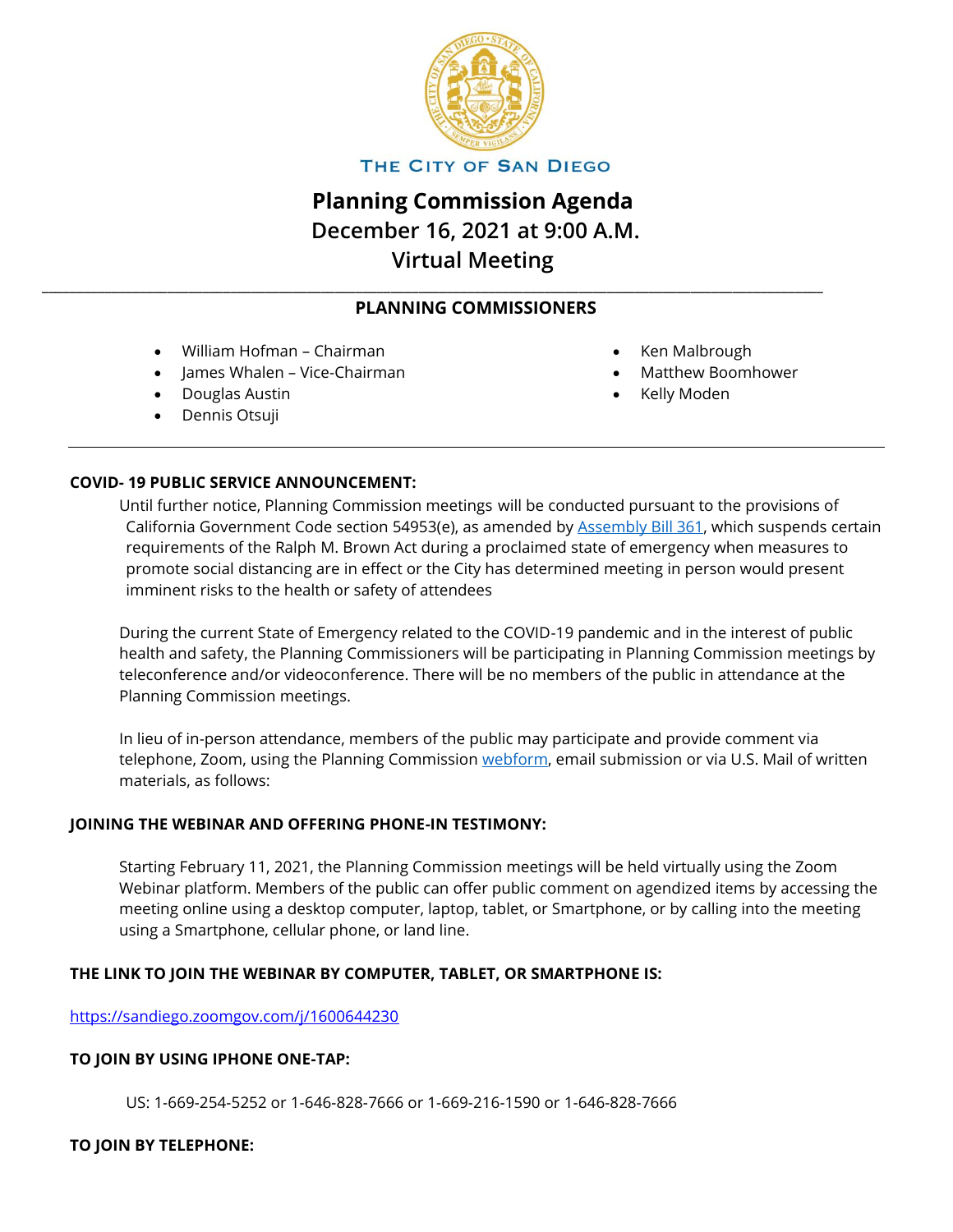

THE CITY OF SAN DIEGO

# **Planning Commission Agenda December 16, 2021 at 9:00 A.M. Virtual Meeting**

# **PLANNING COMMISSIONERS**

\_\_\_\_\_\_\_\_\_\_\_\_\_\_\_\_\_\_\_\_\_\_\_\_\_\_\_\_\_\_\_\_\_\_\_\_\_\_\_\_\_\_\_\_\_\_\_\_\_\_\_\_\_\_\_\_\_\_\_\_\_\_\_\_\_\_\_\_\_\_\_\_\_\_\_\_\_\_\_\_\_\_\_\_\_\_\_\_\_\_\_\_\_\_\_\_\_\_\_\_\_\_\_\_\_\_\_\_\_\_\_\_

- William Hofman Chairman
- James Whalen Vice-Chairman
- Douglas Austin
- Dennis Otsuji
- Ken Malbrough
- Matthew Boomhower
- Kelly Moden

## **COVID- 19 PUBLIC SERVICE ANNOUNCEMENT:**

Until further notice, Planning Commission meetings will be conducted pursuant to the provisions of California Government Code section 54953(e), as amended by [Assembly Bill 361,](https://leginfo.legislature.ca.gov/faces/billNavClient.xhtml?bill_id=202120220AB361) which suspends certain requirements of the Ralph M. Brown Act during a proclaimed state of emergency when measures to promote social distancing are in effect or the City has determined meeting in person would present imminent risks to the health or safety of attendees

During the current State of Emergency related to the COVID-19 pandemic and in the interest of public health and safety, the Planning Commissioners will be participating in Planning Commission meetings by teleconference and/or videoconference. There will be no members of the public in attendance at the Planning Commission meetings.

In lieu of in-person attendance, members of the public may participate and provide comment via telephone, Zoom, using the Planning Commission [webform,](https://www.sandiego.gov/planning-commission/agenda-comment-form) email submission or via U.S. Mail of written materials, as follows:

#### **JOINING THE WEBINAR AND OFFERING PHONE-IN TESTIMONY:**

Starting February 11, 2021, the Planning Commission meetings will be held virtually using the Zoom Webinar platform. Members of the public can offer public comment on agendized items by accessing the meeting online using a desktop computer, laptop, tablet, or Smartphone, or by calling into the meeting using a Smartphone, cellular phone, or land line.

# **THE LINK TO JOIN THE WEBINAR BY COMPUTER, TABLET, OR SMARTPHONE IS:**

<https://sandiego.zoomgov.com/j/1600644230>

#### **TO JOIN BY USING IPHONE ONE-TAP:**

US: 1-669-254-5252 or 1-646-828-7666 or 1-669-216-1590 or 1-646-828-7666

#### **TO JOIN BY TELEPHONE:**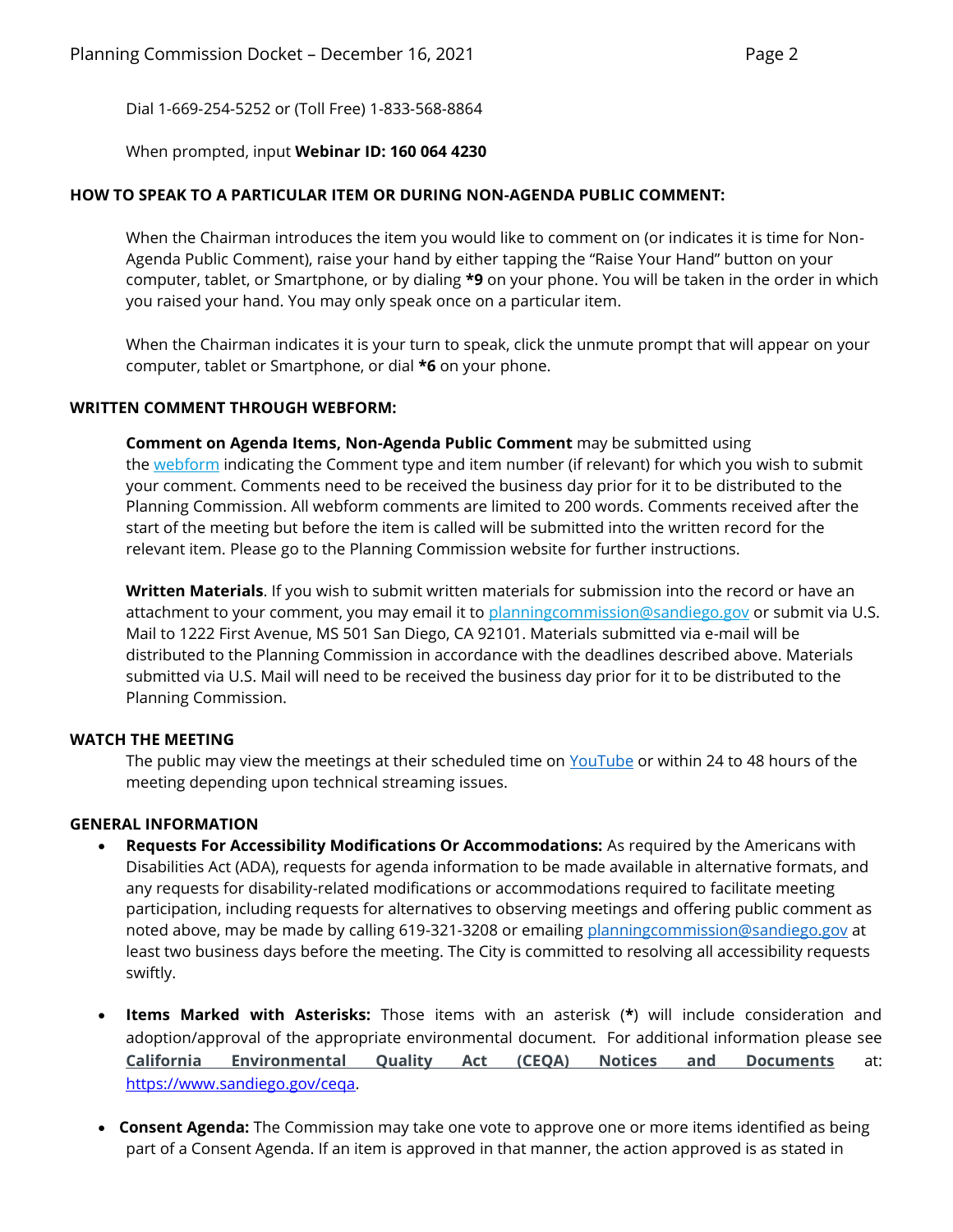Dial 1-669-254-5252 or (Toll Free) 1-833-568-8864

#### When prompted, input **Webinar ID: 160 064 4230**

#### **HOW TO SPEAK TO A PARTICULAR ITEM OR DURING NON-AGENDA PUBLIC COMMENT:**

When the Chairman introduces the item you would like to comment on (or indicates it is time for Non-Agenda Public Comment), raise your hand by either tapping the "Raise Your Hand" button on your computer, tablet, or Smartphone, or by dialing **\*9** on your phone. You will be taken in the order in which you raised your hand. You may only speak once on a particular item.

When the Chairman indicates it is your turn to speak, click the unmute prompt that will appear on your computer, tablet or Smartphone, or dial **\*6** on your phone.

#### **WRITTEN COMMENT THROUGH WEBFORM:**

**Comment on Agenda Items, Non-Agenda Public Comment** may be submitted using the [webform](https://www.sandiego.gov/planning-commission/agenda-comment-form) indicating the Comment type and item number (if relevant) for which you wish to submit your comment. Comments need to be received the business day prior for it to be distributed to the Planning Commission. All webform comments are limited to 200 words. Comments received after the start of the meeting but before the item is called will be submitted into the written record for the relevant item. Please go to the Planning Commission website for further instructions.

**Written Materials**. If you wish to submit written materials for submission into the record or have an attachment to your comment, you may email it to [planningcommission@sandiego.gov](mailto:planningcommission@sandiego.gov) or submit via U.S. Mail to 1222 First Avenue, MS 501 San Diego, CA 92101. Materials submitted via e-mail will be distributed to the Planning Commission in accordance with the deadlines described above. Materials submitted via U.S. Mail will need to be received the business day prior for it to be distributed to the Planning Commission.

#### **WATCH THE MEETING**

The public may view the meetings at their scheduled time on [YouTube](https://www.youtube.com/channel/UCeUQjf-auekdzU_zpcfZa4Q) or within 24 to 48 hours of the meeting depending upon technical streaming issues.

#### **GENERAL INFORMATION**

- **Requests For Accessibility Modifications Or Accommodations:** As required by the Americans with Disabilities Act (ADA), requests for agenda information to be made available in alternative formats, and any requests for disability-related modifications or accommodations required to facilitate meeting participation, including requests for alternatives to observing meetings and offering public comment as noted above, may be made by calling 619-321-3208 or emailing [planningcommission@sandiego.gov](mailto:planningcommission@sandiego.gov) at least two business days before the meeting. The City is committed to resolving all accessibility requests swiftly.
- **Items Marked with Asterisks:** Those items with an asterisk (**\***) will include consideration and adoption/approval of the appropriate environmental document.For additional information please see **[California Environmental Quality Act \(CEQA\) Notices and Documents](https://www.sandiego.gov/city-clerk/officialdocs/public-notices)** at: [https://www.sandiego.gov/ceqa.](https://www.sandiego.gov/ceqa)
- **Consent Agenda:** The Commission may take one vote to approve one or more items identified as being part of a Consent Agenda. If an item is approved in that manner, the action approved is as stated in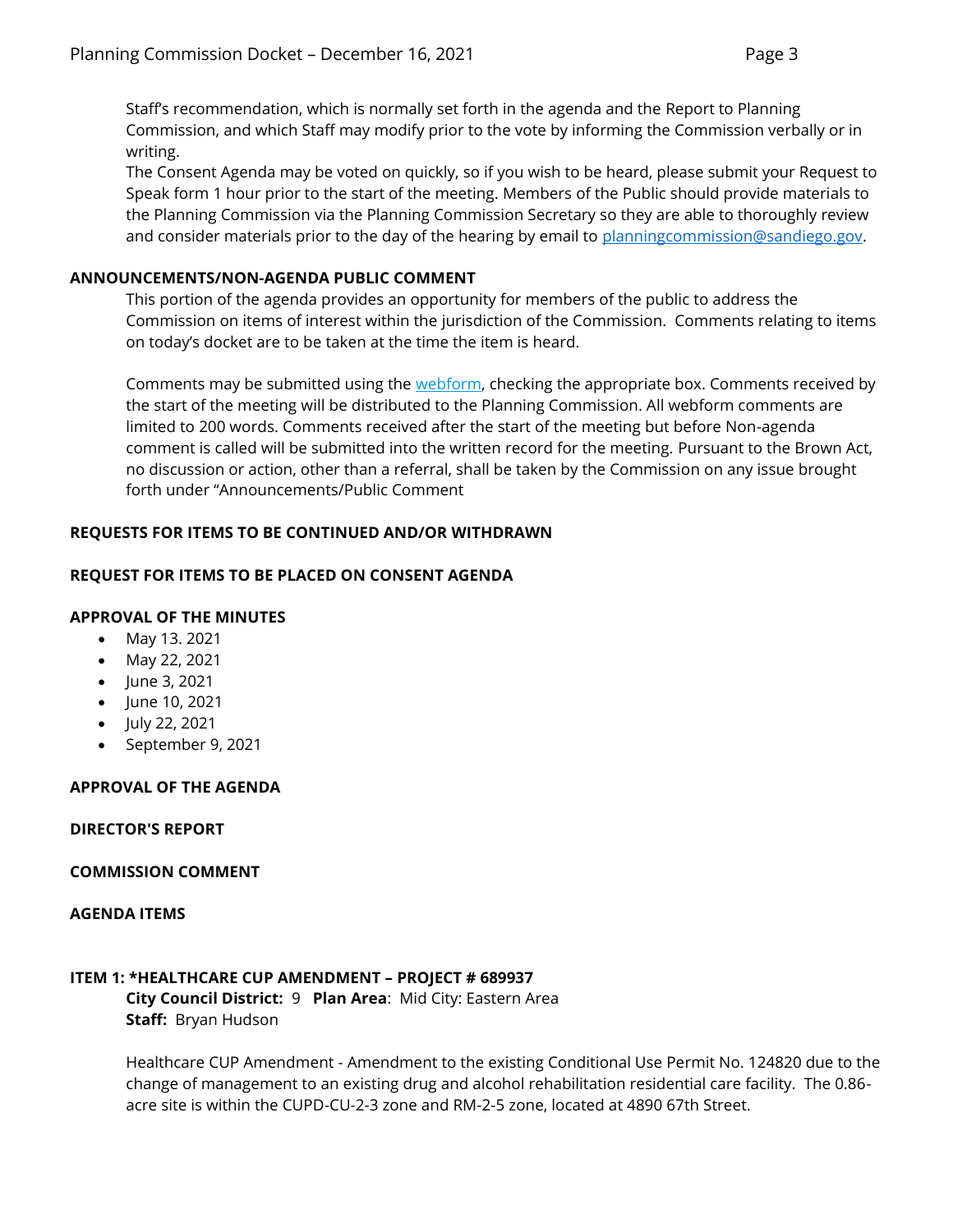Staff's recommendation, which is normally set forth in the agenda and the Report to Planning Commission, and which Staff may modify prior to the vote by informing the Commission verbally or in writing.

The Consent Agenda may be voted on quickly, so if you wish to be heard, please submit your Request to Speak form 1 hour prior to the start of the meeting. Members of the Public should provide materials to the Planning Commission via the Planning Commission Secretary so they are able to thoroughly review and consider materials prior to the day of the hearing by email to [planningcommission@sandiego.gov.](mailto:planningcommission@sandiego.gov)

# **ANNOUNCEMENTS/NON-AGENDA PUBLIC COMMENT**

This portion of the agenda provides an opportunity for members of the public to address the Commission on items of interest within the jurisdiction of the Commission. Comments relating to items on today's docket are to be taken at the time the item is heard.

Comments may be submitted using the [webform,](https://www.sandiego.gov/planning-commission/agenda-comment-form) checking the appropriate box. Comments received by the start of the meeting will be distributed to the Planning Commission. All webform comments are limited to 200 words. Comments received after the start of the meeting but before Non-agenda comment is called will be submitted into the written record for the meeting. Pursuant to the Brown Act, no discussion or action, other than a referral, shall be taken by the Commission on any issue brought forth under "Announcements/Public Comment

# **REQUESTS FOR ITEMS TO BE CONTINUED AND/OR WITHDRAWN**

# **REQUEST FOR ITEMS TO BE PLACED ON CONSENT AGENDA**

# **APPROVAL OF THE MINUTES**

- May 13. 2021
- May 22, 2021
- June 3, 2021
- June 10, 2021
- July 22, 2021
- September 9, 2021

# **APPROVAL OF THE AGENDA**

#### **DIRECTOR'S REPORT**

#### **COMMISSION COMMENT**

#### **AGENDA ITEMS**

#### **ITEM 1: \*HEALTHCARE CUP AMENDMENT – PROJECT # 689937**

**City Council District:** 9 **Plan Area**: Mid City: Eastern Area **Staff:** Bryan Hudson

Healthcare CUP Amendment - Amendment to the existing Conditional Use Permit No. 124820 due to the change of management to an existing drug and alcohol rehabilitation residential care facility. The 0.86 acre site is within the CUPD-CU-2-3 zone and RM-2-5 zone, located at 4890 67th Street.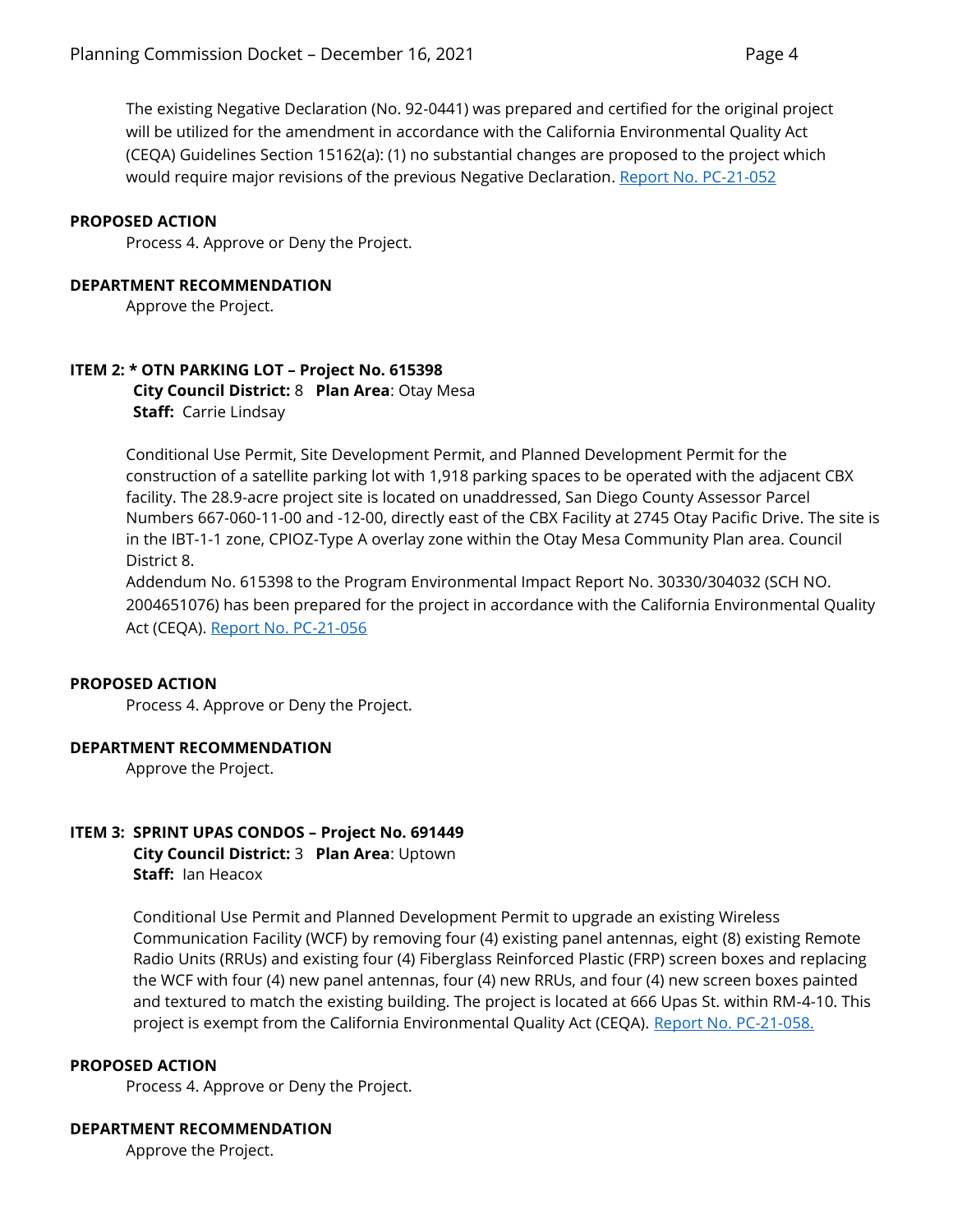The existing Negative Declaration (No. 92-0441) was prepared and certified for the original project will be utilized for the amendment in accordance with the California Environmental Quality Act (CEQA) Guidelines Section 15162(a): (1) no substantial changes are proposed to the project which would require major revisions of the previous Negative Declaration. [Report No. PC-21-052](https://www.sandiego.gov/sites/default/files/pc-21-052_healthcare.pdf)

#### **PROPOSED ACTION**

Process 4. Approve or Deny the Project.

#### **DEPARTMENT RECOMMENDATION**

Approve the Project.

# **ITEM 2: \* OTN PARKING LOT – Project No. 615398 City Council District:** 8 **Plan Area**: Otay Mesa **Staff:** Carrie Lindsay

Conditional Use Permit, Site Development Permit, and Planned Development Permit for the construction of a satellite parking lot with 1,918 parking spaces to be operated with the adjacent CBX facility. The 28.9-acre project site is located on unaddressed, San Diego County Assessor Parcel Numbers 667-060-11-00 and -12-00, directly east of the CBX Facility at 2745 Otay Pacific Drive. The site is in the IBT-1-1 zone, CPIOZ-Type A overlay zone within the Otay Mesa Community Plan area. Council District 8.

Addendum No. 615398 to the Program Environmental Impact Report No. 30330/304032 (SCH NO. 2004651076) has been prepared for the project in accordance with the California Environmental Quality Act (CEQA). [Report No. PC-21-056](https://www.sandiego.gov/sites/default/files/pc-21-056_otn_0.pdf)

#### **PROPOSED ACTION**

Process 4. Approve or Deny the Project.

#### **DEPARTMENT RECOMMENDATION**

Approve the Project.

# **ITEM 3: SPRINT UPAS CONDOS – Project No. 691449**

**City Council District:** 3 **Plan Area**: Uptown **Staff:** Ian Heacox

Conditional Use Permit and Planned Development Permit to upgrade an existing Wireless Communication Facility (WCF) by removing four (4) existing panel antennas, eight (8) existing Remote Radio Units (RRUs) and existing four (4) Fiberglass Reinforced Plastic (FRP) screen boxes and replacing the WCF with four (4) new panel antennas, four (4) new RRUs, and four (4) new screen boxes painted and textured to match the existing building. The project is located at 666 Upas St. within RM-4-10. This project is exempt from the California Environmental Quality Act (CEQA). [Report No. PC-21-058.](https://www.sandiego.gov/sites/default/files/pc-21-058.pdf)

#### **PROPOSED ACTION**

Process 4. Approve or Deny the Project.

#### **DEPARTMENT RECOMMENDATION**

Approve the Project.